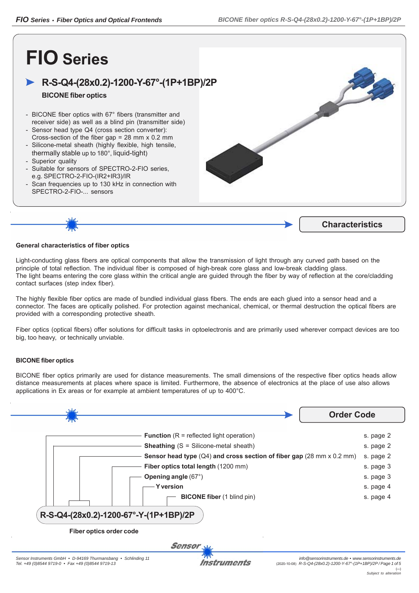## **FIO Series**

### **R-S-Q4-(28x0.2)-1200-Y-67°-(1P+1BP)/2P**

#### **BICONE fiber optics**

- BICONE fiber optics with 67° fibers (transmitter and receiver side) as well as a blind pin (transmitter side)
- Sensor head type Q4 (cross section converter): Cross-section of the fiber gap = 28 mm x 0.2 mm
- Silicone-metal sheath (highly flexible, high tensile, thermally stable up to 180°, liquid-tight)
- Superior quality
- Suitable for sensors of SPECTRO-2-FIO series, e.g. SPECTRO-2-FIO-(IR2+IR3)/IR
- Scan frequencies up to 130 kHz in connection with SPECTRO-2-FIO-... sensors





#### **General characteristics of fiber optics**

Light-conducting glass fibers are optical components that allow the transmission of light through any curved path based on the principle of total reflection. The individual fiber is composed of high-break core glass and low-break cladding glass. The light beams entering the core glass within the critical angle are guided through the fiber by way of reflection at the core/cladding contact surfaces (step index fiber).

The highly flexible fiber optics are made of bundled individual glass fibers. The ends are each glued into a sensor head and a connector. The faces are optically polished. For protection against mechanical, chemical, or thermal destruction the optical fibers are provided with a corresponding protective sheath.

Fiber optics (optical fibers) offer solutions for difficult tasks in optoelectronis and are primarily used wherever compact devices are too big, too heavy, or technically unviable.

#### **BICONE fiber optics**

BICONE fiber optics primarily are used for distance measurements. The small dimensions of the respective fiber optics heads allow distance measurements at places where space is limited. Furthermore, the absence of electronics at the place of use also allows applications in Ex areas or for example at ambient temperatures of up to 400°C.

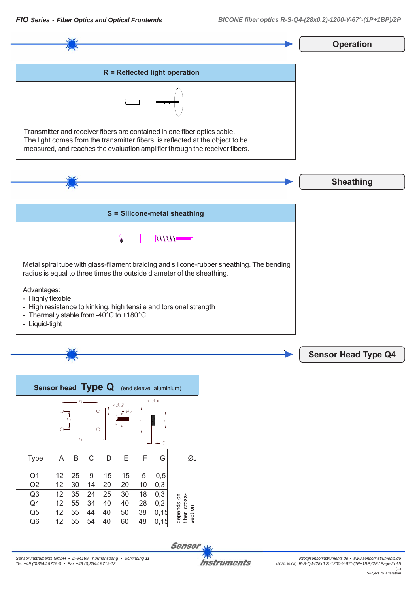section $Q5$  | 12 | 55 | 44 | 40 | 50 | 38 | 0,15  $Q6$  | 12 | 55 | 54 | 40 | 60 | 48 | 0,15 **Sensor** *Sensor Instruments GmbH • D-94169 Thurmansbang • Schlinding 11* **Instruments** 

# **Operation R = Reflected light operation** Transmitter and receiver fibers are contained in one fiber optics cable. The light comes from the transmitter fibers, is reflected at the object to be measured, and reaches the evaluation amplifier through the receiver fibers. **Sheathing**

| S = Silicone-metal sheathing                                                                                                                                       |
|--------------------------------------------------------------------------------------------------------------------------------------------------------------------|
|                                                                                                                                                                    |
| Metal spiral tube with glass-filament braiding and silicone-rubber sheathing. The bending<br>radius is equal to three times the outside diameter of the sheathing. |
| Advantages:<br>- Highly flexible<br>- High resistance to kinking, high tensile and torsional strength<br>- Thermally stable from -40°C to +180°C<br>- Liquid-tight |

| <b>Sensor head Type Q</b> (end sleeve: aluminium)      |    |    |    |    |    |    |      |                                       |  |
|--------------------------------------------------------|----|----|----|----|----|----|------|---------------------------------------|--|
| $\epsilon$<br>$-A-$<br>0.3.2<br>Щ<br>$\circ$<br>R<br>G |    |    |    |    |    |    |      |                                       |  |
| <b>Type</b>                                            | A  | Β  | С  | D  | Ε  | F  | G    |                                       |  |
| Q <sub>1</sub>                                         | 12 | 25 | 9  | 15 | 15 | 5  | 0,5  |                                       |  |
| Q2                                                     | 12 | 30 | 14 | 20 | 20 | 10 | 0,3  | depends on<br>fiber cross-<br>section |  |
| Q <sub>3</sub>                                         | 12 | 35 | 24 | 25 | 30 | 18 | 0,3  |                                       |  |
| Q4                                                     | 12 | 55 | 34 | 40 | 40 | 28 | 0,2  |                                       |  |
| Q <sub>5</sub>                                         | 12 | 55 | 44 | 40 | 50 | 38 | 0,15 |                                       |  |
| Q <sub>6</sub>                                         | 12 | 55 | 54 | 40 | 60 | 48 | 0,15 |                                       |  |

**Sensor Head Type Q4**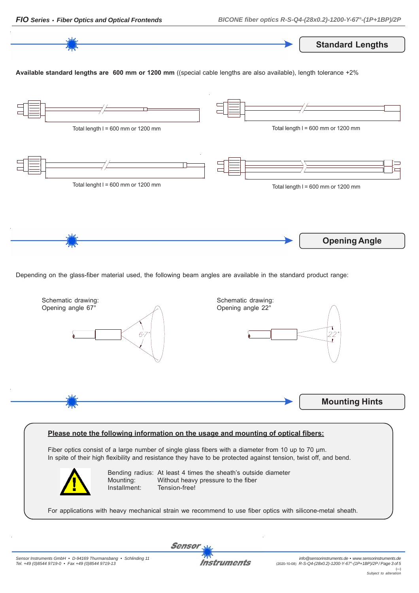

Depending on the glass-fiber material used, the following beam angles are available in the standard product range:



#### **Please note the following information on the usage and mounting of optical fibers:**

Fiber optics consist of a large number of single glass fibers with a diameter from 10 up to 70 μm. In spite of their high flexibility and resistance they have to be protected against tension, twist off, and bend.



Bending radius: At least 4 times the sheath's outside diameter Mounting: Without heavy pressure to the fiber Installment: Tension-free!

For applications with heavy mechanical strain we recommend to use fiber optics with silicone-metal sheath.

Instruments

Sensor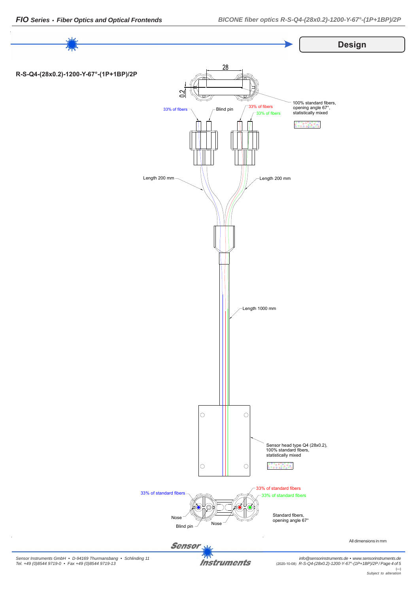

**Instruments** 

*info@sensorinstruments.de • www.sensorinstruments.de* (2020-10-08) *R-S-Q4-(28x0.2)-1200-Y-67°-(1P+1BP)/2P / Page 4 of 5* (---) *Subject to alteration*